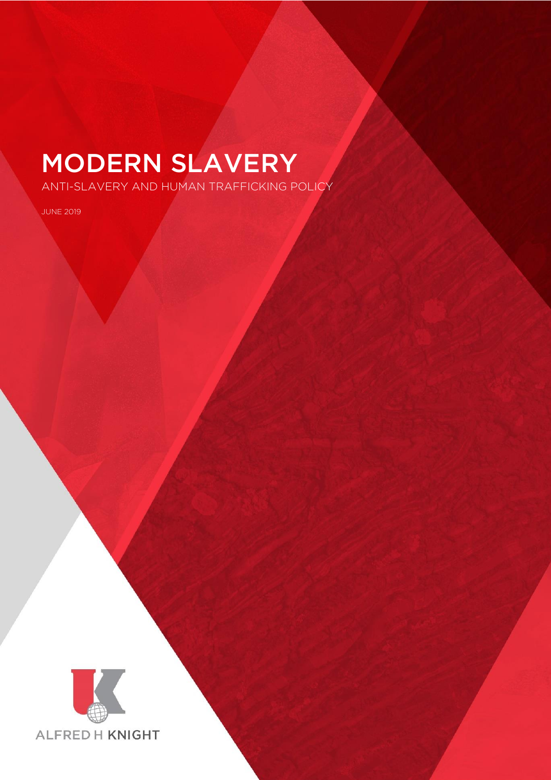ANTI-SLAVERY AND HUMAN TRAFFICKING POLICY

JUNE 2019



 $A_N$  and  $A_N$  and  $A_N$  and  $A_N$  and  $A_N$  and  $A_N$  and  $A_N$  and  $A_N$  and  $A_N$  and  $A_N$  and  $A_N$  and  $A_N$  and  $A_N$  and  $A_N$  and  $A_N$  and  $A_N$  and  $A_N$  and  $A_N$  and  $A_N$  and  $A_N$  and  $A_N$  and  $A_N$  and  $A_N$  and  $A_N$  and  $A_N$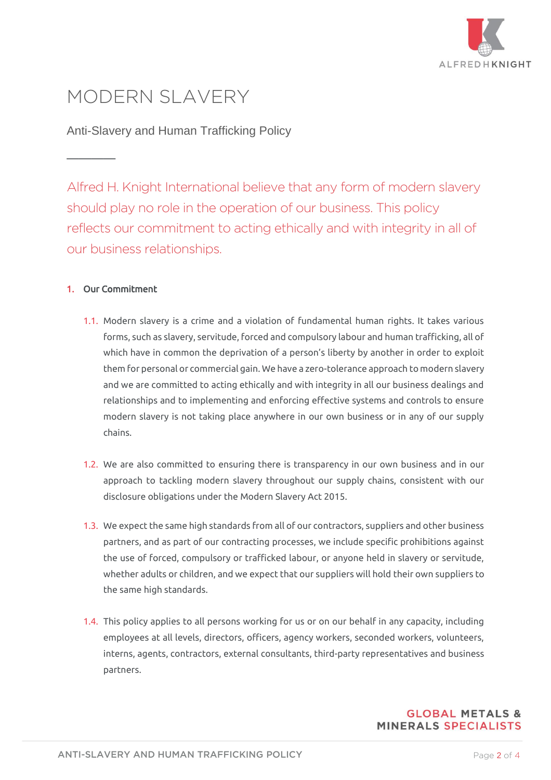

# MODERN SLAVERY

Anti-Slavery and Human Trafficking Policy

Alfred H. Knight International believe that any form of modern slavery should play no role in the operation of our business. This policy reflects our commitment to acting ethically and with integrity in all of our business relationships.

## 1. Our Commitment

 $\mathcal{L}$ 

- 1.1. Modern slavery is a crime and a violation of fundamental human rights. It takes various forms, such as slavery, servitude, forced and compulsory labour and human trafficking, all of which have in common the deprivation of a person's liberty by another in order to exploit them for personal or commercial gain. We have a zero-tolerance approach to modern slavery and we are committed to acting ethically and with integrity in all our business dealings and relationships and to implementing and enforcing effective systems and controls to ensure modern slavery is not taking place anywhere in our own business or in any of our supply chains.
- 1.2. We are also committed to ensuring there is transparency in our own business and in our approach to tackling modern slavery throughout our supply chains, consistent with our disclosure obligations under the Modern Slavery Act 2015.
- 1.3. We expect the same high standards from all of our contractors, suppliers and other business partners, and as part of our contracting processes, we include specific prohibitions against the use of forced, compulsory or trafficked labour, or anyone held in slavery or servitude, whether adults or children, and we expect that our suppliers will hold their own suppliers to the same high standards.
- 1.4. This policy applies to all persons working for us or on our behalf in any capacity, including employees at all levels, directors, officers, agency workers, seconded workers, volunteers, interns, agents, contractors, external consultants, third-party representatives and business partners.

### **GLOBAL METALS & MINERALS SPECIALISTS**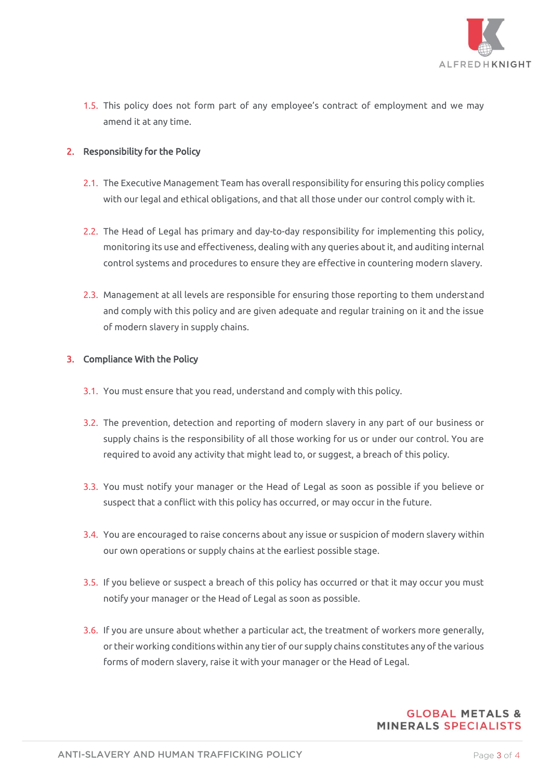

1.5. This policy does not form part of any employee's contract of employment and we may amend it at any time.

### 2. Responsibility for the Policy

- 2.1. The Executive Management Team has overall responsibility for ensuring this policy complies with our legal and ethical obligations, and that all those under our control comply with it.
- 2.2. The Head of Legal has primary and day-to-day responsibility for implementing this policy, monitoring its use and effectiveness, dealing with any queries about it, and auditing internal control systems and procedures to ensure they are effective in countering modern slavery.
- 2.3. Management at all levels are responsible for ensuring those reporting to them understand and comply with this policy and are given adequate and regular training on it and the issue of modern slavery in supply chains.

#### 3. Compliance With the Policy

- 3.1. You must ensure that you read, understand and comply with this policy.
- 3.2. The prevention, detection and reporting of modern slavery in any part of our business or supply chains is the responsibility of all those working for us or under our control. You are required to avoid any activity that might lead to, or suggest, a breach of this policy.
- 3.3. You must notify your manager or the Head of Legal as soon as possible if you believe or suspect that a conflict with this policy has occurred, or may occur in the future.
- 3.4. You are encouraged to raise concerns about any issue or suspicion of modern slavery within our own operations or supply chains at the earliest possible stage.
- 3.5. If you believe or suspect a breach of this policy has occurred or that it may occur you must notify your manager or the Head of Legal as soon as possible.
- 3.6. If you are unsure about whether a particular act, the treatment of workers more generally, or their working conditions within any tier of our supply chains constitutes any of the various forms of modern slavery, raise it with your manager or the Head of Legal.

### **GLOBAL METALS & MINERALS SPECIALISTS**